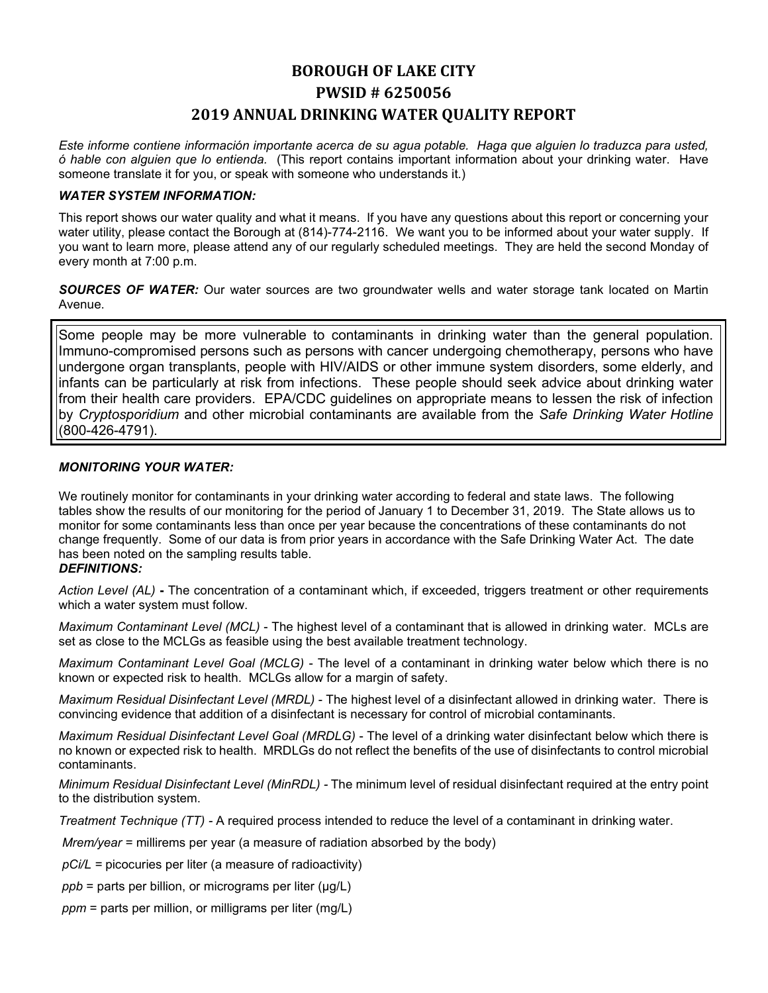# **BOROUGH OF LAKE CITY PWSID # 6250056 2019 ANNUAL DRINKING WATER QUALITY REPORT**

*Este informe contiene información importante acerca de su agua potable. Haga que alguien lo traduzca para usted, ó hable con alguien que lo entienda.* (This report contains important information about your drinking water. Have someone translate it for you, or speak with someone who understands it.)

### *WATER SYSTEM INFORMATION:*

This report shows our water quality and what it means. If you have any questions about this report or concerning your water utility, please contact the Borough at (814)-774-2116.We want you to be informed about your water supply. If you want to learn more, please attend any of our regularly scheduled meetings. They are held the second Monday of every month at 7:00 p.m.

*SOURCES OF WATER:* Our water sources are two groundwater wells and water storage tank located on Martin Avenue.

Some people may be more vulnerable to contaminants in drinking water than the general population. Immuno-compromised persons such as persons with cancer undergoing chemotherapy, persons who have undergone organ transplants, people with HIV/AIDS or other immune system disorders, some elderly, and infants can be particularly at risk from infections. These people should seek advice about drinking water from their health care providers. EPA/CDC guidelines on appropriate means to lessen the risk of infection by *Cryptosporidium* and other microbial contaminants are available from the *Safe Drinking Water Hotline* (800-426-4791).

## *MONITORING YOUR WATER:*

We routinely monitor for contaminants in your drinking water according to federal and state laws. The following tables show the results of our monitoring for the period of January 1 to December 31, 2019. The State allows us to monitor for some contaminants less than once per year because the concentrations of these contaminants do not change frequently. Some of our data is from prior years in accordance with the Safe Drinking Water Act. The date has been noted on the sampling results table.

## *DEFINITIONS:*

*Action Level (AL)* **-** The concentration of a contaminant which, if exceeded, triggers treatment or other requirements which a water system must follow.

*Maximum Contaminant Level (MCL)* - The highest level of a contaminant that is allowed in drinking water. MCLs are set as close to the MCLGs as feasible using the best available treatment technology.

*Maximum Contaminant Level Goal (MCLG)* - The level of a contaminant in drinking water below which there is no known or expected risk to health. MCLGs allow for a margin of safety.

*Maximum Residual Disinfectant Level (MRDL)* - The highest level of a disinfectant allowed in drinking water. There is convincing evidence that addition of a disinfectant is necessary for control of microbial contaminants.

*Maximum Residual Disinfectant Level Goal (MRDLG)* - The level of a drinking water disinfectant below which there is no known or expected risk to health. MRDLGs do not reflect the benefits of the use of disinfectants to control microbial contaminants.

*Minimum Residual Disinfectant Level (MinRDL) -* The minimum level of residual disinfectant required at the entry point to the distribution system.

*Treatment Technique (TT) -* A required process intended to reduce the level of a contaminant in drinking water.

*Mrem/year =* millirems per year (a measure of radiation absorbed by the body)

*pCi/L =* picocuries per liter (a measure of radioactivity)

*ppb* = parts per billion, or micrograms per liter (μg/L)

*ppm* = parts per million, or milligrams per liter (mg/L)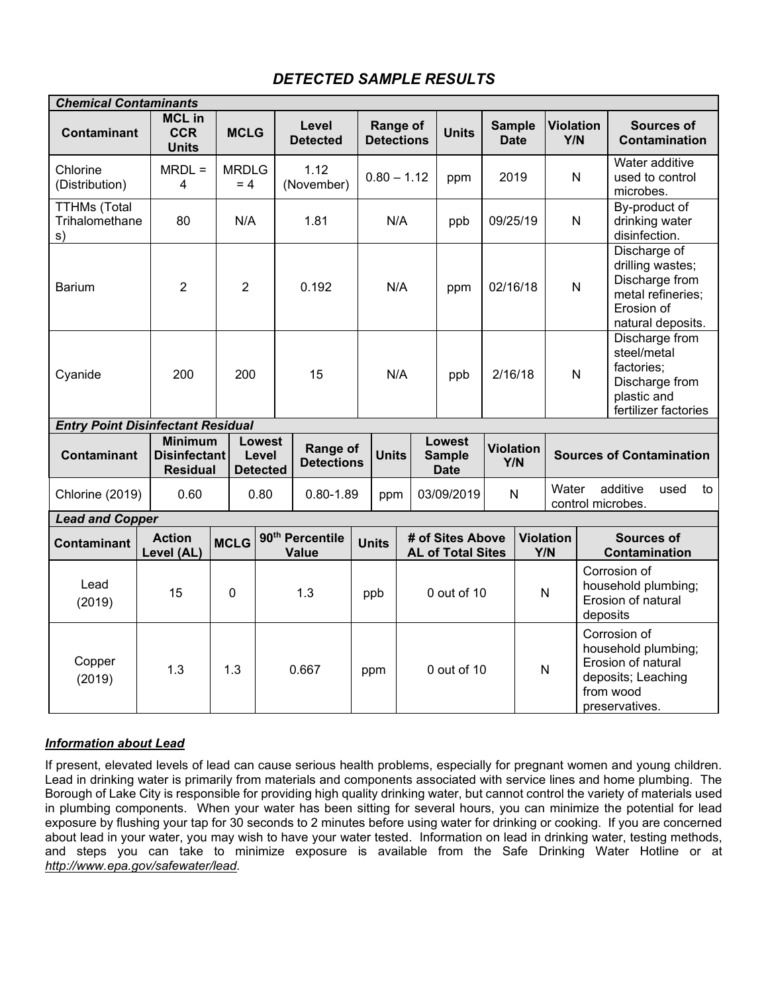## *DETECTED SAMPLE RESULTS*

| <b>Chemical Contaminants</b>                |  |                                                          |             |                                    |  |                                             |  |                               |  |                                              |                              |                         |                            |                                                                       |                                                                                                                |
|---------------------------------------------|--|----------------------------------------------------------|-------------|------------------------------------|--|---------------------------------------------|--|-------------------------------|--|----------------------------------------------|------------------------------|-------------------------|----------------------------|-----------------------------------------------------------------------|----------------------------------------------------------------------------------------------------------------|
| <b>Contaminant</b>                          |  | <b>MCL in</b><br><b>CCR</b><br><b>Units</b>              |             | <b>MCLG</b>                        |  | Level<br><b>Detected</b>                    |  | Range of<br><b>Detections</b> |  | <b>Units</b>                                 | <b>Sample</b><br><b>Date</b> |                         | <b>Violation</b><br>Y/N    |                                                                       | <b>Sources of</b><br>Contamination                                                                             |
| Chlorine<br>(Distribution)                  |  | $MRDL =$<br>4                                            |             | <b>MRDLG</b><br>$= 4$              |  | 1.12<br>(November)                          |  | $0.80 - 1.12$                 |  | ppm                                          | 2019                         |                         | N                          |                                                                       | Water additive<br>used to control<br>microbes.                                                                 |
| <b>TTHMs (Total</b><br>Trihalomethane<br>s) |  | 80                                                       |             | N/A                                |  | 1.81                                        |  | N/A                           |  | ppb                                          | 09/25/19                     |                         | $\mathsf{N}$               |                                                                       | By-product of<br>drinking water<br>disinfection.                                                               |
| <b>Barium</b>                               |  | $\overline{2}$                                           |             | $\overline{2}$                     |  | 0.192                                       |  | N/A                           |  | ppm                                          | 02/16/18                     |                         | N                          |                                                                       | Discharge of<br>drilling wastes;<br>Discharge from<br>metal refineries;<br>Erosion of<br>natural deposits.     |
| Cyanide                                     |  | 200                                                      |             | 200                                |  | 15                                          |  | N/A                           |  | ppb                                          | 2/16/18                      |                         | N                          |                                                                       | Discharge from<br>steel/metal<br>factories;<br>Discharge from<br>plastic and<br>fertilizer factories           |
| <b>Entry Point Disinfectant Residual</b>    |  |                                                          |             |                                    |  |                                             |  |                               |  |                                              |                              |                         |                            |                                                                       |                                                                                                                |
| <b>Contaminant</b>                          |  | <b>Minimum</b><br><b>Disinfectant</b><br><b>Residual</b> |             | Lowest<br>Level<br><b>Detected</b> |  | Range of<br><b>Detections</b>               |  | <b>Units</b>                  |  | Lowest<br><b>Sample</b><br><b>Date</b>       | <b>Violation</b><br>Y/N      |                         |                            |                                                                       | <b>Sources of Contamination</b>                                                                                |
| Chlorine (2019)                             |  | 0.60                                                     |             | 0.80                               |  | $0.80 - 1.89$                               |  | ppm                           |  | 03/09/2019                                   | $\mathsf{N}$                 |                         | Water<br>control microbes. |                                                                       | additive<br>used<br>to                                                                                         |
| <b>Lead and Copper</b>                      |  |                                                          |             |                                    |  |                                             |  |                               |  |                                              |                              |                         |                            |                                                                       |                                                                                                                |
| <b>Contaminant</b>                          |  | <b>Action</b><br>Level (AL)                              | <b>MCLG</b> |                                    |  | 90 <sup>th</sup> Percentile<br><b>Value</b> |  | <b>Units</b>                  |  | # of Sites Above<br><b>AL of Total Sites</b> |                              | <b>Violation</b><br>Y/N |                            |                                                                       | <b>Sources of</b><br>Contamination                                                                             |
| Lead<br>(2019)                              |  | 15<br>0                                                  |             |                                    |  | 1.3                                         |  | ppb                           |  | 0 out of 10                                  |                              | N                       |                            | Corrosion of<br>household plumbing;<br>Erosion of natural<br>deposits |                                                                                                                |
| Copper<br>(2019)                            |  | 1.3                                                      |             | 1.3                                |  | 0.667                                       |  | ppm                           |  | 0 out of 10                                  |                              | $\mathsf{N}$            |                            |                                                                       | Corrosion of<br>household plumbing;<br>Erosion of natural<br>deposits; Leaching<br>from wood<br>preservatives. |

## *Information about Lead*

If present, elevated levels of lead can cause serious health problems, especially for pregnant women and young children. Lead in drinking water is primarily from materials and components associated with service lines and home plumbing. The Borough of Lake City is responsible for providing high quality drinking water, but cannot control the variety of materials used in plumbing components. When your water has been sitting for several hours, you can minimize the potential for lead exposure by flushing your tap for 30 seconds to 2 minutes before using water for drinking or cooking. If you are concerned about lead in your water, you may wish to have your water tested. Information on lead in drinking water, testing methods, and steps you can take to minimize exposure is available from the Safe Drinking Water Hotline or at *[http://www.epa.gov/safewater/lead.](about:blank)*